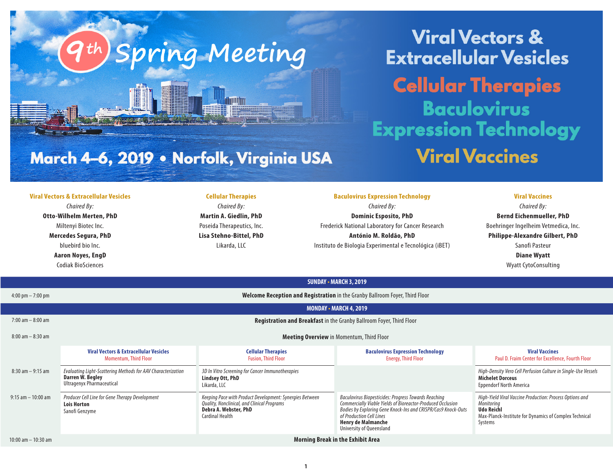**Viral Vectors & Extracellular Vesicles Cellular Therapies Baculovirus Expression Technology Viral Vaccines** 

# March 4-6, 2019 • Norfolk, Virginia USA

Spring Meeting

#### **Viral Vectors & Extracellular Vesicles**

*Chaired By:* **Otto-Wilhelm Merten, PhD** Miltenyi Biotec Inc. **Mercedes Segura, PhD** bluebird bio Inc.

> **Aaron Noyes, EngD** Codiak BioSciences

## **Cellular Therapies**

*Chaired By:* **Martin A. Giedlin, PhD** Poseida Therapeutics, Inc. **Lisa Stehno-Bittel, PhD** Likarda, LLC

### **Baculovirus Expression Technology**

*Chaired By:* **Dominic Esposito, PhD** Frederick National Laboratory for Cancer Research **António M. Roldão, PhD** Instituto de Biologia Experimental e Tecnológica (iBET)

## **Viral Vaccines**

*Chaired By:* **Bernd Eichenmueller, PhD** Boehringer Ingelheim Vetmedica, Inc. **Philippe-Alexandre Gilbert, PhD** Sanofi Pasteur **Diane Wyatt** Wyatt CytoConsulting

| JUNUAI " MANGH J, 4017"             |                                                                                                               |                                                                                                                                                            |                                                                                                                                                                                                                                                                           |                                                                                                                                                                  |  |  |
|-------------------------------------|---------------------------------------------------------------------------------------------------------------|------------------------------------------------------------------------------------------------------------------------------------------------------------|---------------------------------------------------------------------------------------------------------------------------------------------------------------------------------------------------------------------------------------------------------------------------|------------------------------------------------------------------------------------------------------------------------------------------------------------------|--|--|
| $4:00 \text{ pm} - 7:00 \text{ pm}$ | Welcome Reception and Registration in the Granby Ballroom Foyer, Third Floor                                  |                                                                                                                                                            |                                                                                                                                                                                                                                                                           |                                                                                                                                                                  |  |  |
|                                     | <b>MONDAY - MARCH 4, 2019</b>                                                                                 |                                                                                                                                                            |                                                                                                                                                                                                                                                                           |                                                                                                                                                                  |  |  |
| $7:00$ am $-8:00$ am                | Registration and Breakfast in the Granby Ballroom Foyer, Third Floor                                          |                                                                                                                                                            |                                                                                                                                                                                                                                                                           |                                                                                                                                                                  |  |  |
| $8:00$ am $-8:30$ am                | <b>Meeting Overview</b> in Momentum, Third Floor                                                              |                                                                                                                                                            |                                                                                                                                                                                                                                                                           |                                                                                                                                                                  |  |  |
|                                     | <b>Viral Vectors &amp; Extracellular Vesicles</b><br><b>Momentum, Third Floor</b>                             | <b>Cellular Therapies</b><br><b>Fusion, Third Floor</b>                                                                                                    | <b>Baculovirus Expression Technology</b><br><b>Energy, Third Floor</b>                                                                                                                                                                                                    | <b>Viral Vaccines</b><br>Paul D. Fraim Center for Excellence, Fourth Floor                                                                                       |  |  |
| $8:30$ am $-9:15$ am                | Evaluating Light-Scattering Methods for AAV Characterization<br>Darren W. Begley<br>Ultragenyx Pharmaceutical | 3D In Vitro Screening for Cancer Immunotherapies<br>Lindsey Ott, PhD<br>Likarda, LLC                                                                       |                                                                                                                                                                                                                                                                           | High-Density Vero Cell Perfusion Culture in Single-Use Vessels<br><b>Michelet Dorceus</b><br><b>Eppendorf North America</b>                                      |  |  |
| $9:15$ am $-10:00$ am               | Producer Cell Line for Gene Therapy Development<br><b>Lois Horton</b><br>Sanofi Genzyme                       | Keeping Pace with Product Development: Synergies Between<br>Quality, Nonclinical, and Clinical Programs<br>Debra A. Webster, PhD<br><b>Cardinal Health</b> | Baculovirus Biopesticides: Progress Towards Reaching<br>Commercially Viable Yields of Bioreactor-Produced Occlusion<br>Bodies by Exploring Gene Knock-Ins and CRISPR/Cas9 Knock-Outs<br>of Production Cell Lines<br><b>Henry de Malmanche</b><br>University of Queensland | High-Yield Viral Vaccine Production: Process Options and<br>Monitoring<br><b>Udo Reichl</b><br>Max-Planck-Institute for Dynamics of Complex Technical<br>Systems |  |  |
| 10:00 am $-$ 10:30 am               | <b>Morning Break in the Exhibit Area</b>                                                                      |                                                                                                                                                            |                                                                                                                                                                                                                                                                           |                                                                                                                                                                  |  |  |

**SUNDAY • MARCH 3, 2019**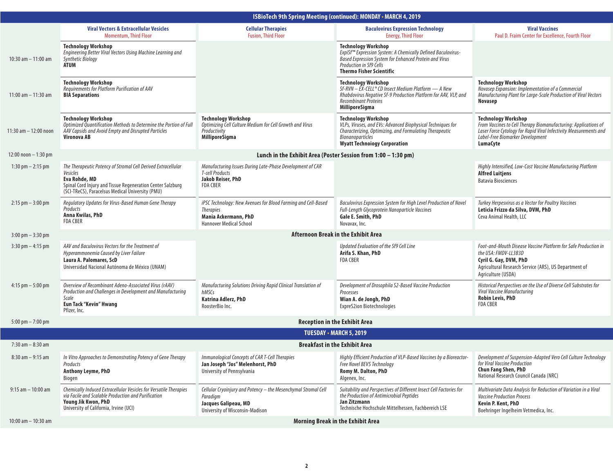| <b>ISBioTech 9th Spring Meeting (continued): MONDAY • MARCH 4, 2019</b> |                                                                                                                                                                                                              |                                                                                                                                             |                                                                                                                                                                                                                        |                                                                                                                                                                                                                           |  |  |  |
|-------------------------------------------------------------------------|--------------------------------------------------------------------------------------------------------------------------------------------------------------------------------------------------------------|---------------------------------------------------------------------------------------------------------------------------------------------|------------------------------------------------------------------------------------------------------------------------------------------------------------------------------------------------------------------------|---------------------------------------------------------------------------------------------------------------------------------------------------------------------------------------------------------------------------|--|--|--|
|                                                                         | <b>Viral Vectors &amp; Extracellular Vesicles</b><br><b>Momentum, Third Floor</b>                                                                                                                            | <b>Cellular Therapies</b><br><b>Fusion, Third Floor</b>                                                                                     | <b>Baculovirus Expression Technology</b><br><b>Energy, Third Floor</b>                                                                                                                                                 | <b>Viral Vaccines</b><br>Paul D. Fraim Center for Excellence, Fourth Floor                                                                                                                                                |  |  |  |
| 10:30 am $-$ 11:00 am                                                   | <b>Technology Workshop</b><br>Engineering Better Viral Vectors Using Machine Learning and<br><b>Synthetic Biology</b><br>ATUM                                                                                |                                                                                                                                             | <b>Technology Workshop</b><br>ExpiSf™ Expression System: A Chemically Defined Baculovirus-<br>Based Expression System for Enhanced Protein and Virus<br>Production in Sf9 Cells<br><b>Thermo Fisher Scientific</b>     |                                                                                                                                                                                                                           |  |  |  |
| 11:00 am $-$ 11:30 am                                                   | <b>Technology Workshop</b><br>Requirements for Platform Purification of AAV<br><b>BIA Separations</b>                                                                                                        |                                                                                                                                             | <b>Technology Workshop</b><br>$Sf-RVN - EX-CELL^{\circ} CD$ Insect Medium Platform - A New<br>Rhabdovirus Negative Sf-9 Production Platform for AAV, VLP, and<br><b>Recombinant Proteins</b><br><b>MilliporeSigma</b>  | <b>Technology Workshop</b><br>Novasep Expansion: Implementation of a Commercial<br>Manufacturing Plant for Large-Scale Production of Viral Vectors<br><b>Novasep</b>                                                      |  |  |  |
| 11:30 $am - 12:00$ noon                                                 | <b>Technology Workshop</b><br>Optimized Quantification Methods to Determine the Portion of Full<br>AAV Capsids and Avoid Empty and Disrupted Particles<br>Vironova AB                                        | <b>Technology Workshop</b><br>Optimizing Cell Culture Medium for Cell Growth and Virus<br>Productivity<br><b>MilliporeSigma</b>             | <b>Technology Workshop</b><br>VLPs, Viruses, and EVs: Advanced Biophysical Techniques for<br>Characterizing, Optimizing, and Formulating Therapeutic<br><b>Bionanoparticles</b><br><b>Wyatt Technoiogy Corporation</b> | <b>Technology Workshop</b><br>From Vaccines to Cell Therapy Biomanufacturing: Applications of<br>Laser Force Cytology for Rapid Viral Infectivity Measurements and<br>Label-Free Biomarker Development<br><b>LumaCyte</b> |  |  |  |
| $12:00$ noon $-1:30$ pm                                                 | Lunch in the Exhibit Area (Poster Session from 1:00 - 1:30 pm)                                                                                                                                               |                                                                                                                                             |                                                                                                                                                                                                                        |                                                                                                                                                                                                                           |  |  |  |
| 1:30 pm $-$ 2:15 pm                                                     | The Therapeutic Potency of Stromal Cell Derived Extracellular<br>Vesicles<br>Eva Rohde, MD<br>Spinal Cord Injury and Tissue Regeneration Center Salzburg<br>(SCI-TReCS), Paracelsus Medical University (PMU) | Manufacturing Issues During Late-Phase Development of CAR<br><b>T-cell Products</b><br>Jakob Reiser, PhD<br><b>FDA CBER</b>                 |                                                                                                                                                                                                                        | Highly Intensified, Low-Cost Vaccine Manufacturing Platform<br><b>Alfred Luitjens</b><br><b>Batavia Biosciences</b>                                                                                                       |  |  |  |
| $2:15$ pm $-3:00$ pm                                                    | Regulatory Updates for Virus-Based Human Gene Therapy<br>Products<br>Anna Kwilas, PhD<br>FDA CBER                                                                                                            | iPSC Technology: New Avenues for Blood Farming and Cell-Based<br><b>Therapies</b><br>Mania Ackermann, PhD<br><b>Hannover Medical School</b> | Baculovirus Expression System for High Level Production of Novel<br><b>Full-Length Glycoprotein Nanoparticle Vaccines</b><br>Gale E. Smith, PhD<br>Novavax, Inc.                                                       | Turkey Herpesvirus as a Vector for Poultry Vaccines<br>Leticia Frizzo da Silva, DVM, PhD<br>Ceva Animal Health, LLC                                                                                                       |  |  |  |
| $3:00 \text{ pm} - 3:30 \text{ pm}$                                     | Afternoon Break in the Exhibit Area                                                                                                                                                                          |                                                                                                                                             |                                                                                                                                                                                                                        |                                                                                                                                                                                                                           |  |  |  |
| $3:30$ pm $-4:15$ pm                                                    | AAV and Baculovirus Vectors for the Treatment of<br>Hyperammonemia Caused by Liver Failure<br>Laura A. Palomares, ScD<br>Universidad Nacional Autónoma de México (UNAM)                                      |                                                                                                                                             | Updated Evaluation of the Sf9 Cell Line<br>Arifa S. Khan, PhD<br><b>FDA CBER</b>                                                                                                                                       | Foot-and-Mouth Disease Vaccine Platform for Safe Production in<br>the USA: FMDV-LL3B3D<br>Cyril G. Gay, DVM, PhD<br>Agricultural Research Service (ARS), US Department of<br>Agriculture (USDA)                           |  |  |  |
| $4:15$ pm $-5:00$ pm                                                    | Overview of Recombinant Adeno-Associated Virus (rAAV)<br>Production and Challenges in Development and Manufacturing<br>Scale<br>Eun Tack "Kevin" Hwang<br>Pfizer, Inc.                                       | Manufacturing Solutions Driving Rapid Clinical Translation of<br>hMSCs<br>Katrina Adlerz, PhD<br>RoosterBio Inc.                            | Development of Drosophila S2-Based Vaccine Production<br>Processes<br>Wian A. de Jongh, PhD<br><b>ExpreS2ion Biotechnologies</b>                                                                                       | Historical Perspectives on the Use of Diverse Cell Substrates for<br>Viral Vaccine Manufacturing<br><b>Robin Levis, PhD</b><br><b>FDA CBER</b>                                                                            |  |  |  |
| 5:00 pm $-7:00$ pm                                                      | <b>Reception in the Exhibit Area</b>                                                                                                                                                                         |                                                                                                                                             |                                                                                                                                                                                                                        |                                                                                                                                                                                                                           |  |  |  |
|                                                                         | <b>TUESDAY - MARCH 5, 2019</b>                                                                                                                                                                               |                                                                                                                                             |                                                                                                                                                                                                                        |                                                                                                                                                                                                                           |  |  |  |
| $7:30$ am $-8:30$ am                                                    | <b>Breakfast in the Exhibit Area</b>                                                                                                                                                                         |                                                                                                                                             |                                                                                                                                                                                                                        |                                                                                                                                                                                                                           |  |  |  |
| $8:30$ am $-9:15$ am                                                    | In Vitro Approaches to Demonstrating Potency of Gene Therapy<br>Products<br>Anthony Leyme, PhD<br>Biogen                                                                                                     | Immunological Concepts of CAR T-Cell Therapies<br>Jan Joseph "Jos" Melenhorst, PhD<br>University of Pennsylvania                            | Highly Efficient Production of VLP-Based Vaccines by a Bioreactor-<br><b>Free Novel BEVS Technology</b><br><b>Romy M. Dalton, PhD</b><br>Algenex, Inc.                                                                 | Development of Suspension-Adapted Vero Cell Culture Technology<br>for Viral Vaccine Production<br>Chun Fang Shen, PhD<br>National Research Council Canada (NRC)                                                           |  |  |  |
| $9:15$ am $-10:00$ am                                                   | Chemically Induced Extracellular Vesicles for Versatile Therapies<br>via Facile and Scalable Production and Purification<br>Young Jik Kwon, PhD<br>University of California, Irvine (UCI)                    | Cellular Cryoinjury and Potency - the Mesenchymal Stromal Cell<br>Paradigm<br>Jacques Galipeau, MD<br>University of Wisconsin-Madison       | Suitability and Perspectives of Different Insect Cell Factories for<br>the Production of Antimicrobial Peptides<br>Jan Zitzmann<br>Technische Hochschule Mittelhessen, Fachbereich LSE                                 | Multivariate Data Analysis for Reduction of Variation in a Viral<br><b>Vaccine Production Process</b><br>Kevin P. Kent, PhD<br>Boehringer Ingelheim Vetmedica, Inc.                                                       |  |  |  |
| 10:00 am $-$ 10:30 am                                                   | <b>Morning Break in the Exhibit Area</b>                                                                                                                                                                     |                                                                                                                                             |                                                                                                                                                                                                                        |                                                                                                                                                                                                                           |  |  |  |